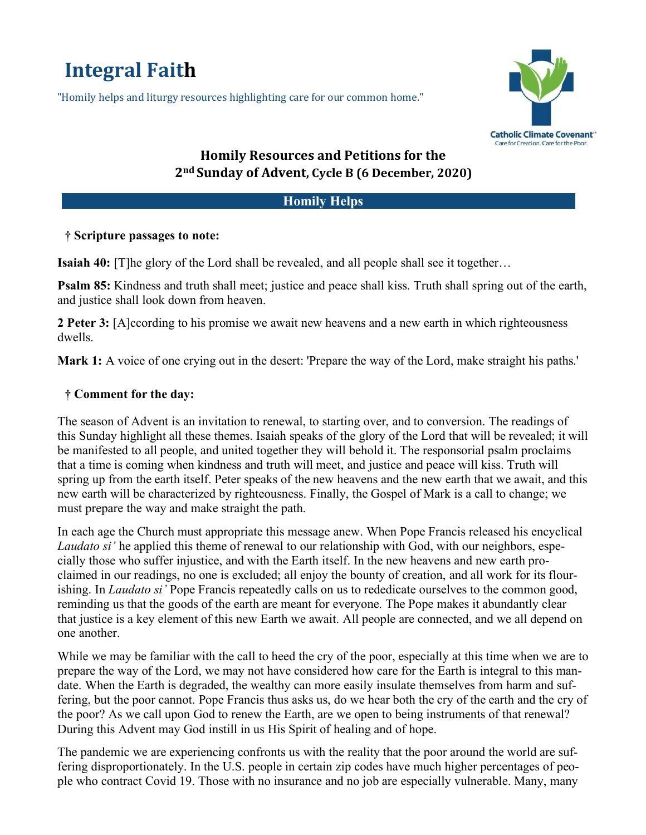# **Integral Faith**

"Homily helps and liturgy resources highlighting care for our common home."



## **Homily Resources and Petitions for the 2nd Sunday of Advent, Cycle B (6 December, 2020)**

### **Homily Helps**

#### **† Scripture passages to note:**

**Isaiah 40:** [T]he glory of the Lord shall be revealed, and all people shall see it together...

**Psalm 85:** Kindness and truth shall meet; justice and peace shall kiss. Truth shall spring out of the earth, and justice shall look down from heaven.

**2 Peter 3:** [A]ccording to his promise we await new heavens and a new earth in which righteousness dwells.

**Mark 1:** A voice of one crying out in the desert: 'Prepare the way of the Lord, make straight his paths.'

#### **† Comment for the day:**

The season of Advent is an invitation to renewal, to starting over, and to conversion. The readings of this Sunday highlight all these themes. Isaiah speaks of the glory of the Lord that will be revealed; it will be manifested to all people, and united together they will behold it. The responsorial psalm proclaims that a time is coming when kindness and truth will meet, and justice and peace will kiss. Truth will spring up from the earth itself. Peter speaks of the new heavens and the new earth that we await, and this new earth will be characterized by righteousness. Finally, the Gospel of Mark is a call to change; we must prepare the way and make straight the path.

In each age the Church must appropriate this message anew. When Pope Francis released his encyclical *Laudato si'* he applied this theme of renewal to our relationship with God, with our neighbors, especially those who suffer injustice, and with the Earth itself. In the new heavens and new earth proclaimed in our readings, no one is excluded; all enjoy the bounty of creation, and all work for its flourishing. In *Laudato si'* Pope Francis repeatedly calls on us to rededicate ourselves to the common good, reminding us that the goods of the earth are meant for everyone. The Pope makes it abundantly clear that justice is a key element of this new Earth we await. All people are connected, and we all depend on one another.

While we may be familiar with the call to heed the cry of the poor, especially at this time when we are to prepare the way of the Lord, we may not have considered how care for the Earth is integral to this mandate. When the Earth is degraded, the wealthy can more easily insulate themselves from harm and suffering, but the poor cannot. Pope Francis thus asks us, do we hear both the cry of the earth and the cry of the poor? As we call upon God to renew the Earth, are we open to being instruments of that renewal? During this Advent may God instill in us His Spirit of healing and of hope.

The pandemic we are experiencing confronts us with the reality that the poor around the world are suffering disproportionately. In the U.S. people in certain zip codes have much higher percentages of people who contract Covid 19. Those with no insurance and no job are especially vulnerable. Many, many